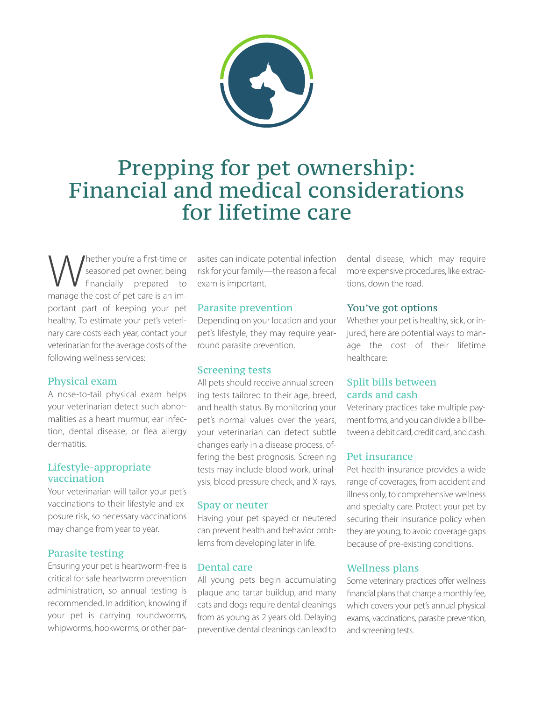

# Prepping for pet ownership: Financial and medical considerations for lifetime care

Whether you're a first-time or<br>
financially prepared to<br>
manage the cost of net care is an imseasoned pet owner, being financially prepared to manage the cost of pet care is an important part of keeping your pet healthy. To estimate your pet's veterinary care costs each year, contact your veterinarian for the average costs of the following wellness services:

## Physical exam

A nose-to-tail physical exam helps your veterinarian detect such abnormalities as a heart murmur, ear infection, dental disease, or flea allergy dermatitis.

## Lifestyle-appropriate vaccination

Your veterinarian will tailor your pet's vaccinations to their lifestyle and exposure risk, so necessary vaccinations may change from year to year.

# Parasite testing

Ensuring your pet is heartworm-free is critical for safe heartworm prevention administration, so annual testing is recommended. In addition, knowing if your pet is carrying roundworms, whipworms, hookworms, or other parasites can indicate potential infection risk for your family—the reason a fecal exam is important.

## Parasite prevention

Depending on your location and your pet's lifestyle, they may require yearround parasite prevention.

# Screening tests

All pets should receive annual screening tests tailored to their age, breed, and health status. By monitoring your pet's normal values over the years, your veterinarian can detect subtle changes early in a disease process, offering the best prognosis. Screening tests may include blood work, urinalysis, blood pressure check, and X-rays.

#### Spay or neuter

Having your pet spayed or neutered can prevent health and behavior problems from developing later in life.

# Dental care

All young pets begin accumulating plaque and tartar buildup, and many cats and dogs require dental cleanings from as young as 2 years old. Delaying preventive dental cleanings can lead to

dental disease, which may require more expensive procedures, like extractions, down the road.

## You've got options

Whether your pet is healthy, sick, or injured, here are potential ways to manage the cost of their lifetime healthcare:

# Split bills between cards and cash

Veterinary practices take multiple payment forms, and you can divide a bill between a debit card, credit card, and cash.

#### Pet insurance

Pet health insurance provides a wide range of coverages, from accident and illness only, to comprehensive wellness and specialty care. Protect your pet by securing their insurance policy when they are young, to avoid coverage gaps because of pre-existing conditions.

# Wellness plans

Some veterinary practices offer wellness financial plans that charge a monthly fee, which covers your pet's annual physical exams, vaccinations, parasite prevention, and screening tests.